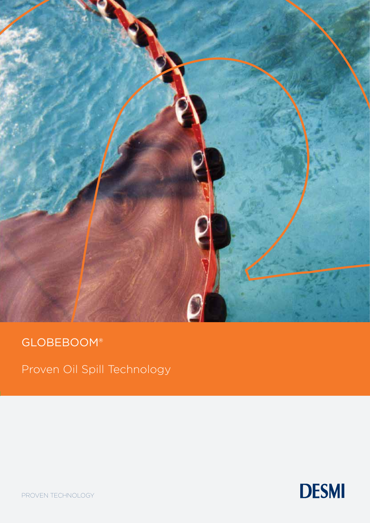

# GLOBEBOOM®

Proven Oil Spill Technology



PROVEN TECHNOLOGY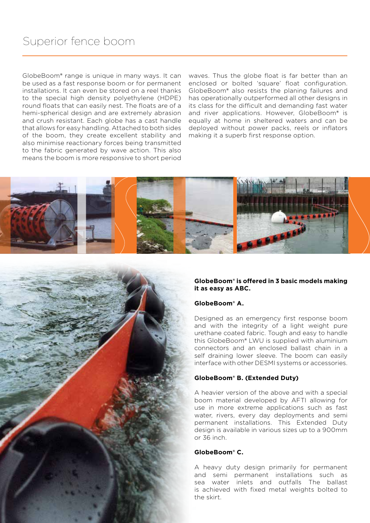GlobeBoom® range is unique in many ways. It can be used as a fast response boom or for permanent installations. It can even be stored on a reel thanks to the special high density polyethylene (HDPE) round floats that can easily nest. The floats are of a hemi-spherical design and are extremely abrasion and crush resistant. Each globe has a cast handle that allows for easy handling. Attached to both sides of the boom, they create excellent stability and also minimise reactionary forces being transmitted to the fabric generated by wave action. This also means the boom is more responsive to short period

waves. Thus the globe float is far better than an enclosed or bolted 'square' float configuration. GlobeBoom® also resists the planing failures and has operationally outperformed all other designs in its class for the difficult and demanding fast water and river applications. However, GlobeBoom® is equally at home in sheltered waters and can be deployed without power packs, reels or inflators making it a superb first response option.



#### **GlobeBoom® is offered in 3 basic models making it as easy as ABC.**

### **GlobeBoom® A.**

Designed as an emergency first response boom and with the integrity of a light weight pure urethane coated fabric. Tough and easy to handle this GlobeBoom® LWU is supplied with aluminium connectors and an enclosed ballast chain in a self draining lower sleeve. The boom can easily interface with other DESMI systems or accessories.

#### **GlobeBoom® B. (Extended Duty)**

A heavier version of the above and with a special boom material developed by AFTI allowing for use in more extreme applications such as fast water, rivers, every day deployments and semi permanent installations. This Extended Duty design is available in various sizes up to a 900mm or 36 inch.

#### **GlobeBoom® C.**

A heavy duty design primarily for permanent and semi permanent installations such as sea water inlets and outfalls The ballast is achieved with fixed metal weights bolted to the skirt.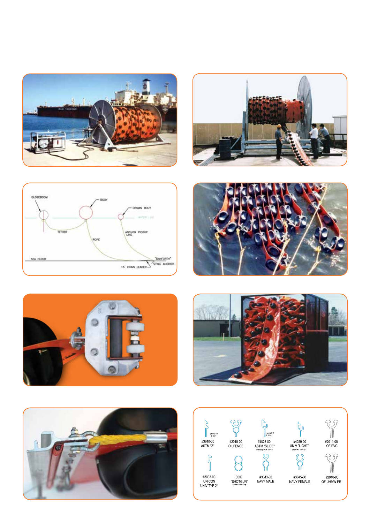













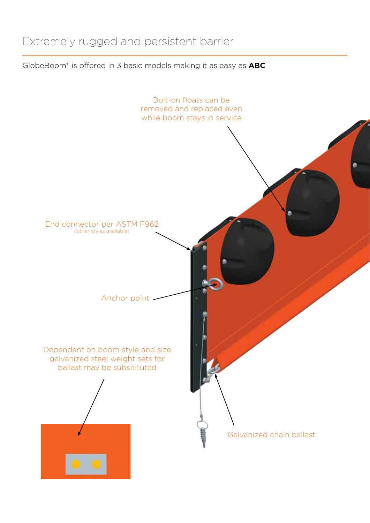## Extremely rugged and persistent barrier

GlobeBoom® is offered in 3 basic models making it as easy as **ABC**

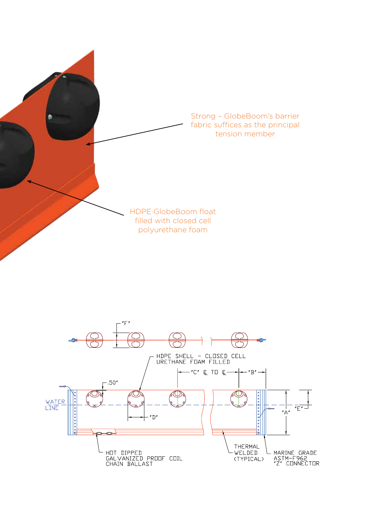